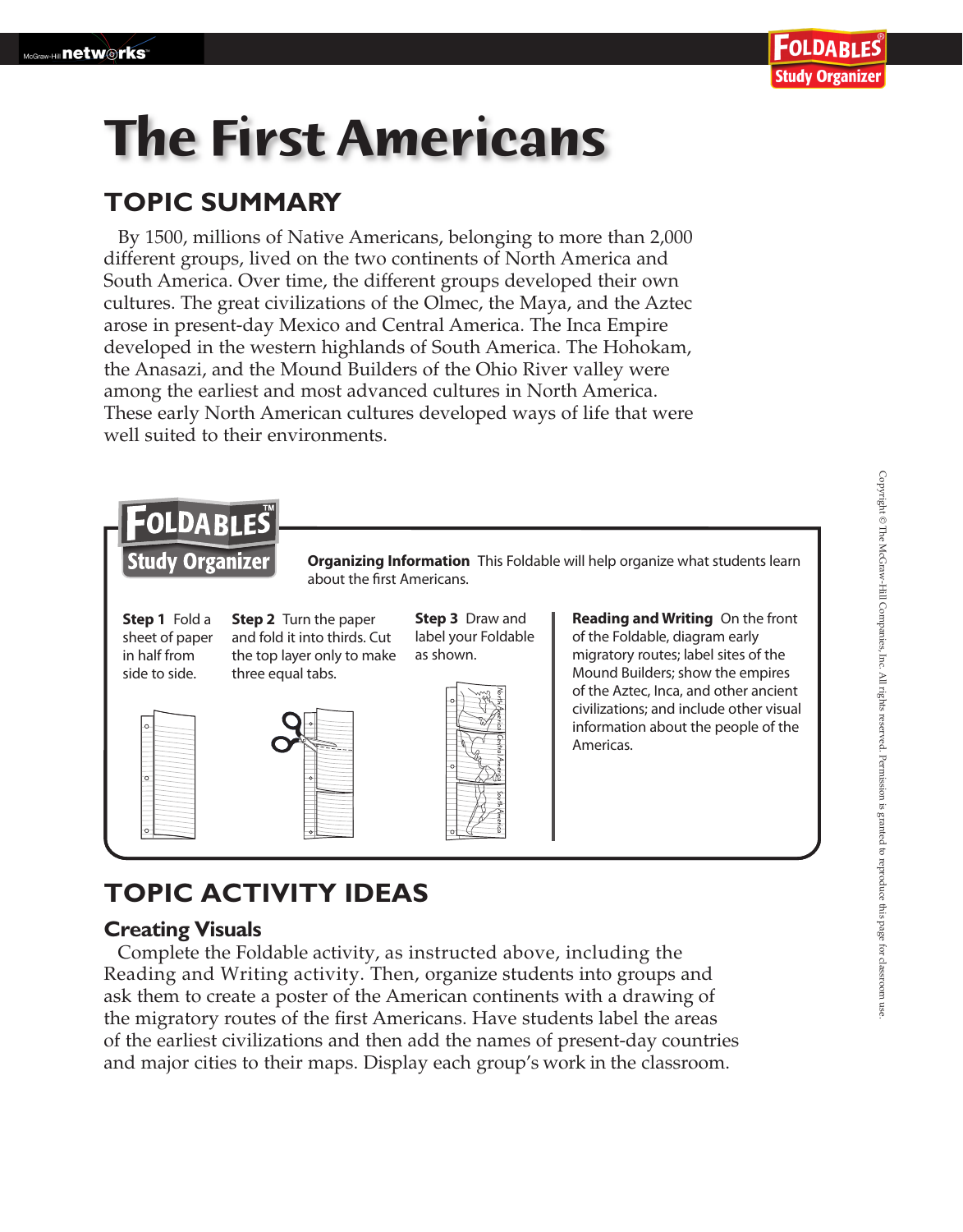# **The First Americans**

### **TOPIC SUMMARY**

By 1500, millions of Native Americans, belonging to more than 2,000 different groups, lived on the two continents of North America and South America. Over time, the different groups developed their own cultures. The great civilizations of the Olmec, the Maya, and the Aztec arose in present-day Mexico and Central America. The Inca Empire developed in the western highlands of South America. The Hohokam, the Anasazi, and the Mound Builders of the Ohio River valley were among the earliest and most advanced cultures in North America. These early North American cultures developed ways of life that were well suited to their environments.



## **TOPIC ACTIVITY IDEAS**

#### **Creating Visuals**

Complete the Foldable activity, as instructed above, including the Reading and Writing activity. Then, organize students into groups and ask them to create a poster of the American continents with a drawing of the migratory routes of the first Americans. Have students label the areas of the earliest civilizations and then add the names of present-day countries and major cities to their maps. Display each group's work in the classroom.